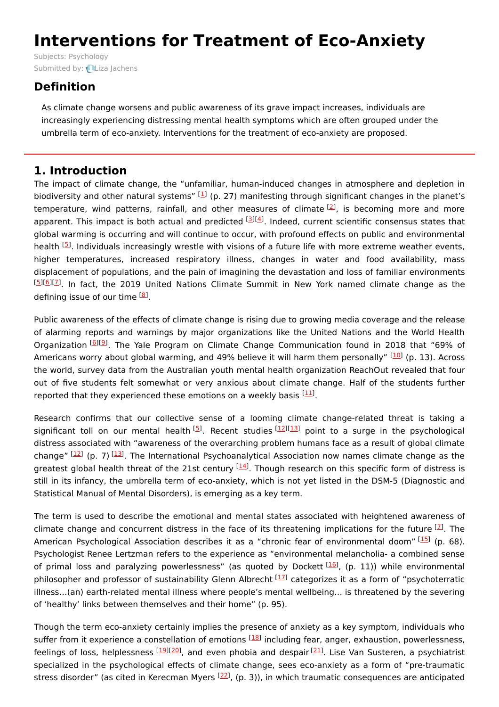# **Interventions for Treatment of Eco-Anxiety**

Subjects: [Psychology](https://encyclopedia.pub/item/subject/309) Submitted by: Liza [Jachens](https://sciprofiles.com/profile/789647)

## **Definition**

As climate change worsens and public awareness of its grave impact increases, individuals are increasingly experiencing distressing mental health symptoms which are often grouped under the umbrella term of eco-anxiety. Interventions for the treatment of eco-anxiety are proposed.

## **1. Introduction**

The impact of climate change, the "unfamiliar, human-induced changes in atmosphere and depletion in biodiversity and other natural systems" [\[1](#page-3-0)] (p. 27) manifesting through significant changes in the planet's temperature, wind patterns, rainfall, and other measures of climate [\[2](#page-4-0)], is becoming more and more apparent. This impact is both actual and predicted <sup>[[3](#page-4-1)][[4](#page-4-2)]</sup>. Indeed, current scientific consensus states that global warming is occurring and will continue to occur, with profound effects on public and environmental health [\[5](#page-4-3)]. Individuals increasingly wrestle with visions of a future life with more extreme weather events, higher temperatures, increased respiratory illness, changes in water and food availability, mass displacement of populations, and the pain of imagining the devastation and loss of familiar environments . In fact, the 2019 United Nations Climate Summit in New York named climate change as the [[5](#page-4-3)][\[6](#page-4-4)][\[7](#page-4-5)] defining issue of our time <sup>[<u>[8](#page-4-6)</u>]</sup>.

Public awareness of the effects of climate change is rising due to growing media coverage and the release of alarming reports and warnings by major organizations like the United Nations and the World Health Organization [[6](#page-4-4)][[9](#page-4-7)]. The Yale Program on Climate Change Communication found in 2018 that "69% of Americans worry about global warming, and 49% believe it will harm them personally" <sup>[\[10](#page-4-8)]</sup> (p. 13). Across the world, survey data from the Australian youth mental health organization ReachOut revealed that four out of five students felt somewhat or very anxious about climate change. Half of the students further reported that they experienced these emotions on a weekly basis <sup>[\[11](#page-4-9)]</sup>.

Research confirms that our collective sense of a looming climate change-related threat is taking a significant toll on our mental health<sup>[\[5](#page-4-3)]</sup>. Recent studies <sup>[[12\]](#page-4-10)[[13\]](#page-4-11)</sup> point to a surge in the psychological distress associated with "awareness of the overarching problem humans face as a result of global climate change" [\[12](#page-4-10)] (p. 7) [[13\]](#page-4-11). The International Psychoanalytical Association now names climate change as the greatest global health threat of the 21st century <sup>[\[14](#page-4-12)]</sup>. Though research on this specific form of distress is still in its infancy, the umbrella term of eco-anxiety, which is not yet listed in the DSM-5 (Diagnostic and Statistical Manual of Mental Disorders), is emerging as a key term.

The term is used to describe the emotional and mental states associated with heightened awareness of climate change and concurrent distress in the face of its threatening implications for the future  $^{[1]}$ . The American Psychological Association describes it as a "chronic fear of environmental doom" [\[15](#page-4-13)] (p. 68). Psychologist Renee Lertzman refers to the experience as "environmental melancholia- a combined sense of primal loss and paralyzing powerlessness" (as quoted by Dockett <sup>[[16](#page-4-14)]</sup>, (p. 11)) while environmental philosopher and professor of sustainability Glenn Albrecht <sup>[[17\]](#page-4-15)</sup> categorizes it as a form of "psychoterratic illness…(an) earth-related mental illness where people's mental wellbeing… is threatened by the severing of 'healthy' links between themselves and their home" (p. 95).

Though the term eco-anxiety certainly implies the presence of anxiety as a key symptom, individuals who suffer from it experience a constellation of emotions <sup>[\[18](#page-4-16)]</sup> including fear, anger, exhaustion, powerlessness, feelings of loss, helplessness [\[19](#page-4-17)][\[20](#page-4-18)], and even phobia and despair<sup>[[21](#page-4-19)]</sup>. Lise Van Susteren, a psychiatrist specialized in the psychological effects of climate change, sees eco-anxiety as a form of "pre-traumatic stress disorder" (as cited in Kerecman Myers <sup>[\[22\]](#page-4-20)</sup>, (p. 3)), in which traumatic consequences are anticipated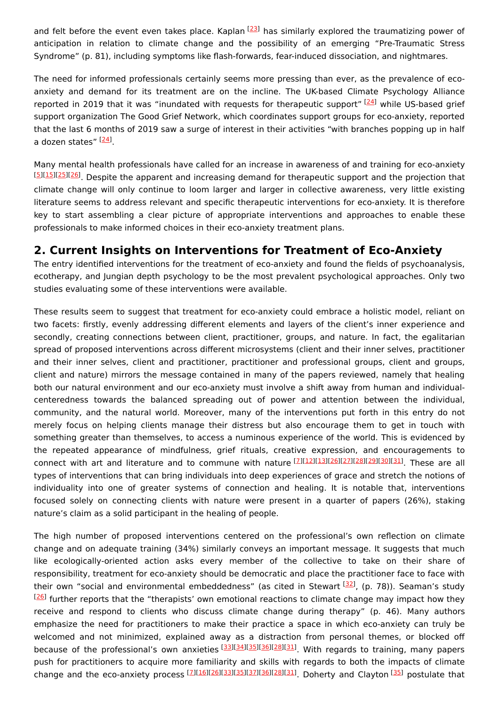and felt before the event even takes place. Kaplan <a>[[23\]](#page-4-21)</a> has similarly explored the traumatizing power of anticipation in relation to climate change and the possibility of an emerging "Pre-Traumatic Stress Syndrome" (p. 81), including symptoms like flash-forwards, fear-induced dissociation, and nightmares.

The need for informed professionals certainly seems more pressing than ever, as the prevalence of ecoanxiety and demand for its treatment are on the incline. The UK-based Climate Psychology Alliance reported in 2019 that it was "inundated with requests for therapeutic support" [\[24](#page-4-22)] while US-based grief support organization The Good Grief Network, which coordinates support groups for eco-anxiety, reported that the last 6 months of 2019 saw a surge of interest in their activities "with branches popping up in half a dozen states" <sup>[<u>[24](#page-4-22)</u>]</sup>.

Many mental health professionals have called for an increase in awareness of and training for eco-anxiety [[5](#page-4-3)][\[15](#page-4-13)][\[25](#page-4-23)][\[26](#page-4-24)]. Despite the apparent and increasing demand for therapeutic support and the projection that climate change will only continue to loom larger and larger in collective awareness, very little existing literature seems to address relevant and specific therapeutic interventions for eco-anxiety. It is therefore key to start assembling a clear picture of appropriate interventions and approaches to enable these professionals to make informed choices in their eco-anxiety treatment plans.

### **2. Current Insights on Interventions for Treatment of Eco-Anxiety**

The entry identified interventions for the treatment of eco-anxiety and found the fields of psychoanalysis, ecotherapy, and Jungian depth psychology to be the most prevalent psychological approaches. Only two studies evaluating some of these interventions were available.

These results seem to suggest that treatment for eco-anxiety could embrace a holistic model, reliant on two facets: firstly, evenly addressing different elements and layers of the client's inner experience and secondly, creating connections between client, practitioner, groups, and nature. In fact, the egalitarian spread of proposed interventions across different microsystems (client and their inner selves, practitioner and their inner selves, client and practitioner, practitioner and professional groups, client and groups, client and nature) mirrors the message contained in many of the papers reviewed, namely that healing both our natural environment and our eco-anxiety must involve a shift away from human and individualcenteredness towards the balanced spreading out of power and attention between the individual, community, and the natural world. Moreover, many of the interventions put forth in this entry do not merely focus on helping clients manage their distress but also encourage them to get in touch with something greater than themselves, to access a numinous experience of the world. This is evidenced by the repeated appearance of mindfulness, grief rituals, creative expression, and encouragements to connect with art and literature and to commune with nature [\[7](#page-4-5)][[12\]](#page-4-10)[[13](#page-4-11)][[26](#page-4-24)][[27](#page-4-25)][[28](#page-5-0)][[29](#page-5-1)][[30](#page-5-2)][[31](#page-5-3)]. These are all types of interventions that can bring individuals into deep experiences of grace and stretch the notions of individuality into one of greater systems of connection and healing. It is notable that, interventions focused solely on connecting clients with nature were present in a quarter of papers (26%), staking nature's claim as a solid participant in the healing of people.

The high number of proposed interventions centered on the professional's own reflection on climate change and on adequate training (34%) similarly conveys an important message. It suggests that much like ecologically-oriented action asks every member of the collective to take on their share of responsibility, treatment for eco-anxiety should be democratic and place the practitioner face to face with their own "social and environmental embeddedness" (as cited in Stewart [[32](#page-5-4)], (p. 78)). Seaman's study  $[26]$  $[26]$  $[26]$  further reports that the "therapists' own emotional reactions to climate change may impact how they receive and respond to clients who discuss climate change during therapy" (p. 46). Many authors emphasize the need for practitioners to make their practice a space in which eco-anxiety can truly be welcomed and not minimized, explained away as a distraction from personal themes, or blocked off because of the professional's own anxieties [\[33](#page-5-5)][\[34](#page-5-6)][\[35](#page-5-7)][\[36](#page-5-8)][\[28](#page-5-0)][\[31](#page-5-3)]. With regards to training, many papers push for practitioners to acquire more familiarity and skills with regards to both the impacts of climate change and the eco-anxiety process [[7](#page-4-5)][\[16](#page-4-14)][\[26](#page-4-24)][\[33](#page-5-5)][\[35](#page-5-7)][\[37](#page-5-9)][\[36](#page-5-8)][\[28](#page-5-0)][\[31](#page-5-3)]. Doherty and Clayton [[35](#page-5-7)] postulate that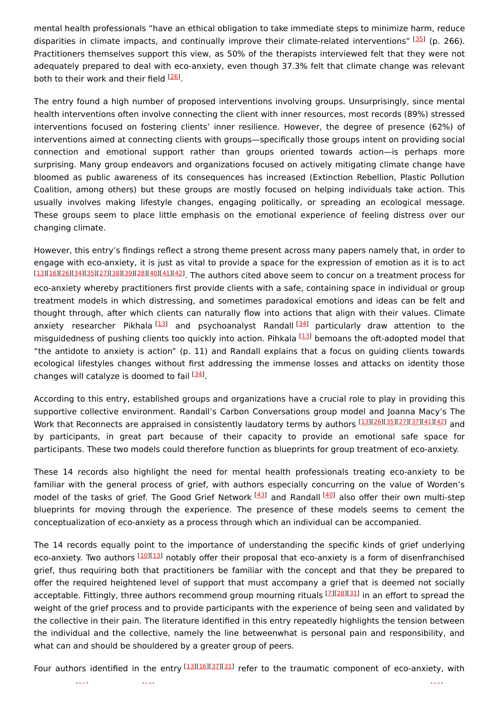mental health professionals "have an ethical obligation to take immediate steps to minimize harm, reduce disparities in climate impacts, and continually improve their climate-related interventions" [\[35](#page-5-7)] (p. 266). Practitioners themselves support this view, as 50% of the therapists interviewed felt that they were not adequately prepared to deal with eco-anxiety, even though 37.3% felt that climate change was relevant both to their work and their field <sup>[\[26](#page-4-24)]</sup>.

The entry found a high number of proposed interventions involving groups. Unsurprisingly, since mental health interventions often involve connecting the client with inner resources, most records (89%) stressed interventions focused on fostering clients' inner resilience. However, the degree of presence (62%) of interventions aimed at connecting clients with groups—specifically those groups intent on providing social connection and emotional support rather than groups oriented towards action—is perhaps more surprising. Many group endeavors and organizations focused on actively mitigating climate change have bloomed as public awareness of its consequences has increased (Extinction Rebellion, Plastic Pollution Coalition, among others) but these groups are mostly focused on helping individuals take action. This usually involves making lifestyle changes, engaging politically, or spreading an ecological message. These groups seem to place little emphasis on the emotional experience of feeling distress over our changing climate.

However, this entry's findings reflect a strong theme present across many papers namely that, in order to engage with eco-anxiety, it is just as vital to provide a space for the expression of emotion as it is to act [[13](#page-4-11)][\[16\]](#page-4-14)[[26](#page-4-24)][\[34\]](#page-5-6)[[35](#page-5-7)][\[27\]](#page-4-25)[[38](#page-5-10)][\[39\]](#page-5-11)[[28](#page-5-0)][\[40\]](#page-5-12)[[41](#page-5-13)][\[42\]](#page-5-14). The authors cited above seem to concur on a treatment process for eco-anxiety whereby practitioners first provide clients with a safe, containing space in individual or group treatment models in which distressing, and sometimes paradoxical emotions and ideas can be felt and thought through, after which clients can naturally flow into actions that align with their values. Climate anxiety researcher Pikhala<sup>[[13](#page-4-11)]</sup> and psychoanalyst Randall<sup>[[34](#page-5-6)]</sup> particularly draw attention to the misguidedness of pushing clients too quickly into action. Pihkala [\[13](#page-4-11)] bemoans the oft-adopted model that "the antidote to anxiety is action" (p. 11) and Randall explains that a focus on guiding clients towards ecological lifestyles changes without first addressing the immense losses and attacks on identity those changes will catalyze is doomed to fail  $^{[34]}$  $^{[34]}$  $^{[34]}$ .

According to this entry, established groups and organizations have a crucial role to play in providing this supportive collective environment. Randall's Carbon Conversations group model and Joanna Macy's The Work that Reconnects are appraised in consistently laudatory terms by authors [\[13\]](#page-4-11)[[26](#page-4-24)][\[35\]](#page-5-7)[[27](#page-4-25)][\[37\]](#page-5-9)[[41](#page-5-13)][\[42\]](#page-5-14) <sub>and</sub> by participants, in great part because of their capacity to provide an emotional safe space for participants. These two models could therefore function as blueprints for group treatment of eco-anxiety.

These 14 records also highlight the need for mental health professionals treating eco-anxiety to be familiar with the general process of grief, with authors especially concurring on the value of Worden's model of the tasks of grief. The Good Grief Network <sup>[\[43](#page-5-15)]</sup> and Randall <sup>[[40](#page-5-12)]</sup> also offer their own multi-step blueprints for moving through the experience. The presence of these models seems to cement the conceptualization of eco-anxiety as a process through which an individual can be accompanied.

The 14 records equally point to the importance of understanding the specific kinds of grief underlying eco-anxiety. Two authors <sup>[\[10](#page-4-8)][[13](#page-4-11)]</sup> notably offer their proposal that eco-anxiety is a form of disenfranchised grief, thus requiring both that practitioners be familiar with the concept and that they be prepared to offer the required heightened level of support that must accompany a grief that is deemed not socially acceptable. Fittingly, three authors recommend group mourning rituals [[7](#page-4-5)][\[28](#page-5-0)][\[31](#page-5-3)] in an effort to spread the weight of the grief process and to provide participants with the experience of being seen and validated by the collective in their pain. The literature identified in this entry repeatedly highlights the tension between the individual and the collective, namely the line betweenwhat is personal pain and responsibility, and what can and should be shouldered by a greater group of peers.

Four authors identified in the entry [\[13](#page-4-11)][\[16](#page-4-14)][\[37](#page-5-9)][\[31](#page-5-3)] refer to the traumatic component of eco-anxiety, with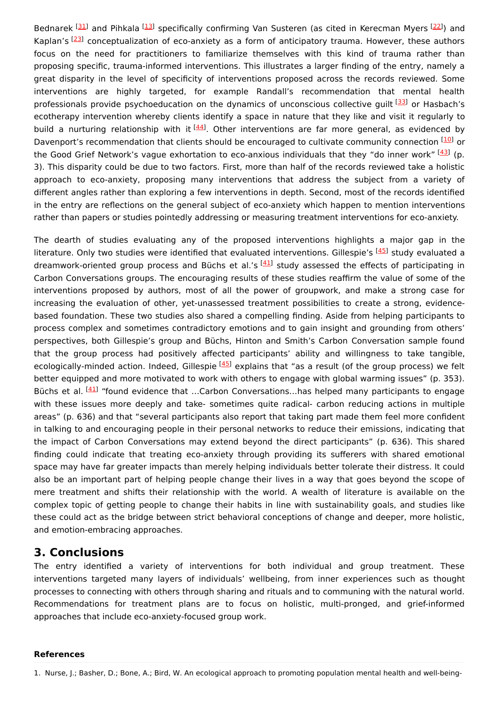Bednarek [\[31](#page-5-3)] and Pihkala [\[13\]](#page-4-11) specifically confirming Van Susteren (as cited in Kerecman Myers [\[22](#page-4-20)]) and Kaplan's <sup>[[23\]](#page-4-21)</sup> conceptualization of eco-anxiety as a form of anticipatory trauma. However, these authors focus on the need for practitioners to familiarize themselves with this kind of trauma rather than proposing specific, trauma-informed interventions. This illustrates a larger finding of the entry, namely a great disparity in the level of specificity of interventions proposed across the records reviewed. Some interventions are highly targeted, for example Randall's recommendation that mental health professionals provide psychoeducation on the dynamics of unconscious collective guilt <a>[\[33](#page-5-5)]</a> or Hasbach's ecotherapy intervention whereby clients identify a space in nature that they like and visit it regularly to build a nurturing relationship with it <sup>[\[44](#page-5-16)]</sup>. Other interventions are far more general, as evidenced by Davenport's recommendation that clients should be encouraged to cultivate community connection [[10](#page-4-8)] or the Good Grief Network's vague exhortation to eco-anxious individuals that they "do inner work" [\[43](#page-5-15)] (p. 3). This disparity could be due to two factors. First, more than half of the records reviewed take a holistic approach to eco-anxiety, proposing many interventions that address the subject from a variety of different angles rather than exploring a few interventions in depth. Second, most of the records identified in the entry are reflections on the general subject of eco-anxiety which happen to mention interventions rather than papers or studies pointedly addressing or measuring treatment interventions for eco-anxiety.

The dearth of studies evaluating any of the proposed interventions highlights a major gap in the literature. Only two studies were identified that evaluated interventions. Gillespie's [[45](#page-5-17)] study evaluated a dreamwork-oriented group process and Büchs et al.'s [[41](#page-5-13)] study assessed the effects of participating in Carbon Conversations groups. The encouraging results of these studies reaffirm the value of some of the interventions proposed by authors, most of all the power of groupwork, and make a strong case for increasing the evaluation of other, yet-unassessed treatment possibilities to create a strong, evidencebased foundation. These two studies also shared a compelling finding. Aside from helping participants to process complex and sometimes contradictory emotions and to gain insight and grounding from others' perspectives, both Gillespie's group and Büchs, Hinton and Smith's Carbon Conversation sample found that the group process had positively affected participants' ability and willingness to take tangible, ecologically-minded action. Indeed, Gillespie <sup>[\[45](#page-5-17)]</sup> explains that "as a result (of the group process) we felt better equipped and more motivated to work with others to engage with global warming issues" (p. 353). Büchs et al. <sup>[\[41](#page-5-13)]</sup> "found evidence that ...Carbon Conversations...has helped many participants to engage with these issues more deeply and take- sometimes quite radical- carbon reducing actions in multiple areas" (p. 636) and that "several participants also report that taking part made them feel more confident in talking to and encouraging people in their personal networks to reduce their emissions, indicating that the impact of Carbon Conversations may extend beyond the direct participants" (p. 636). This shared finding could indicate that treating eco-anxiety through providing its sufferers with shared emotional space may have far greater impacts than merely helping individuals better tolerate their distress. It could also be an important part of helping people change their lives in a way that goes beyond the scope of mere treatment and shifts their relationship with the world. A wealth of literature is available on the complex topic of getting people to change their habits in line with sustainability goals, and studies like these could act as the bridge between strict behavioral conceptions of change and deeper, more holistic, and emotion-embracing approaches.

#### **3. Conclusions**

The entry identified a variety of interventions for both individual and group treatment. These interventions targeted many layers of individuals' wellbeing, from inner experiences such as thought processes to connecting with others through sharing and rituals and to communing with the natural world. Recommendations for treatment plans are to focus on holistic, multi-pronged, and grief-informed approaches that include eco-anxiety-focused group work.

#### **References**

<span id="page-3-0"></span>1. Nurse, J.; Basher, D.; Bone, A.; Bird, W. An ecological approach to promoting population mental health and well-being-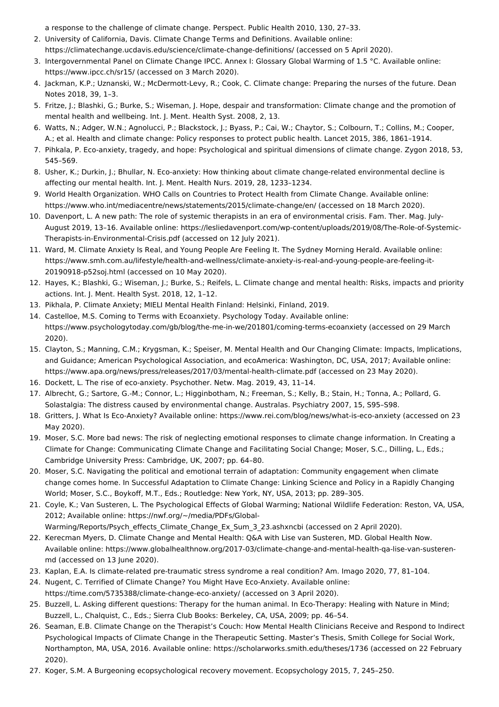<span id="page-4-0"></span>a response to the challenge of climate change. Perspect. Public Health 2010, 130, 27–33.

- 2. University of California, Davis. Climate Change Terms and Definitions. Available online: https://climatechange.ucdavis.edu/science/climate-change-definitions/ (accessed on 5 April 2020).
- <span id="page-4-1"></span>3. Intergovernmental Panel on Climate Change IPCC. Annex I: Glossary Global Warming of 1.5 °C. Available online: https://www.ipcc.ch/sr15/ (accessed on 3 March 2020).
- <span id="page-4-2"></span>4. Jackman, K.P.; Uznanski, W.; McDermott-Levy, R.; Cook, C. Climate change: Preparing the nurses of the future. Dean Notes 2018, 39, 1–3.
- <span id="page-4-3"></span>5. Fritze, J.; Blashki, G.; Burke, S.; Wiseman, J. Hope, despair and transformation: Climate change and the promotion of mental health and wellbeing. Int. J. Ment. Health Syst. 2008, 2, 13.
- <span id="page-4-4"></span>6. Watts, N.; Adger, W.N.; Agnolucci, P.; Blackstock, J.; Byass, P.; Cai, W.; Chaytor, S.; Colbourn, T.; Collins, M.; Cooper, A.; et al. Health and climate change: Policy responses to protect public health. Lancet 2015, 386, 1861–1914.
- <span id="page-4-5"></span>7. Pihkala, P. Eco-anxiety, tragedy, and hope: Psychological and spiritual dimensions of climate change. Zygon 2018, 53, 545–569.
- <span id="page-4-6"></span>8. Usher, K.; Durkin, J.; Bhullar, N. Eco-anxiety: How thinking about climate change-related environmental decline is affecting our mental health. Int. J. Ment. Health Nurs. 2019, 28, 1233–1234.
- <span id="page-4-7"></span>9. World Health Organization. WHO Calls on Countries to Protect Health from Climate Change. Available online: https://www.who.int/mediacentre/news/statements/2015/climate-change/en/ (accessed on 18 March 2020).
- <span id="page-4-8"></span>10. Davenport, L. A new path: The role of systemic therapists in an era of environmental crisis. Fam. Ther. Mag. July-August 2019, 13–16. Available online: https://lesliedavenport.com/wp-content/uploads/2019/08/The-Role-of-Systemic-Therapists-in-Environmental-Crisis.pdf (accessed on 12 July 2021).
- <span id="page-4-9"></span>11. Ward, M. Climate Anxiety Is Real, and Young People Are Feeling It. The Sydney Morning Herald. Available online: https://www.smh.com.au/lifestyle/health-and-wellness/climate-anxiety-is-real-and-young-people-are-feeling-it-20190918-p52soj.html (accessed on 10 May 2020).
- <span id="page-4-10"></span>12. Hayes, K.; Blashki, G.; Wiseman, J.; Burke, S.; Reifels, L. Climate change and mental health: Risks, impacts and priority actions. Int. J. Ment. Health Syst. 2018, 12, 1–12.
- <span id="page-4-11"></span>13. Pikhala, P. Climate Anxiety; MIELI Mental Health Finland: Helsinki, Finland, 2019.
- <span id="page-4-12"></span>14. Castelloe, M.S. Coming to Terms with Ecoanxiety. Psychology Today. Available online: https://www.psychologytoday.com/gb/blog/the-me-in-we/201801/coming-terms-ecoanxiety (accessed on 29 March 2020).
- <span id="page-4-13"></span>15. Clayton, S.; Manning, C.M.; Krygsman, K.; Speiser, M. Mental Health and Our Changing Climate: Impacts, Implications, and Guidance; American Psychological Association, and ecoAmerica: Washington, DC, USA, 2017; Available online: https://www.apa.org/news/press/releases/2017/03/mental-health-climate.pdf (accessed on 23 May 2020).
- <span id="page-4-14"></span>16. Dockett, L. The rise of eco-anxiety. Psychother. Netw. Mag. 2019, 43, 11–14.
- <span id="page-4-15"></span>17. Albrecht, G.; Sartore, G.-M.; Connor, L.; Higginbotham, N.; Freeman, S.; Kelly, B.; Stain, H.; Tonna, A.; Pollard, G. Solastalgia: The distress caused by environmental change. Australas. Psychiatry 2007, 15, S95–S98.
- <span id="page-4-16"></span>18. Gritters, J. What Is Eco-Anxiety? Available online: https://www.rei.com/blog/news/what-is-eco-anxiety (accessed on 23 May 2020).
- <span id="page-4-17"></span>19. Moser, S.C. More bad news: The risk of neglecting emotional responses to climate change information. In Creating a Climate for Change: Communicating Climate Change and Facilitating Social Change; Moser, S.C., Dilling, L., Eds.; Cambridge University Press: Cambridge, UK, 2007; pp. 64–80.
- <span id="page-4-18"></span>20. Moser, S.C. Navigating the political and emotional terrain of adaptation: Community engagement when climate change comes home. In Successful Adaptation to Climate Change: Linking Science and Policy in a Rapidly Changing World; Moser, S.C., Boykoff, M.T., Eds.; Routledge: New York, NY, USA, 2013; pp. 289–305.
- <span id="page-4-19"></span>21. Coyle, K.; Van Susteren, L. The Psychological Effects of Global Warming; National Wildlife Federation: Reston, VA, USA, 2012; Available online: https://nwf.org/~/media/PDFs/Global-
- <span id="page-4-20"></span>Warming/Reports/Psych\_effects\_Climate\_Change\_Ex\_Sum\_3\_23.ashxncbi (accessed on 2 April 2020). 22. Kerecman Myers, D. Climate Change and Mental Health: Q&A with Lise van Susteren, MD. Global Health Now.
- Available online: https://www.globalhealthnow.org/2017-03/climate-change-and-mental-health-qa-lise-van-susterenmd (accessed on 13 June 2020).
- <span id="page-4-21"></span>23. Kaplan, E.A. Is climate-related pre-traumatic stress syndrome a real condition? Am. Imago 2020, 77, 81–104.
- <span id="page-4-22"></span>24. Nugent, C. Terrified of Climate Change? You Might Have Eco-Anxiety. Available online: https://time.com/5735388/climate-change-eco-anxiety/ (accessed on 3 April 2020).
- <span id="page-4-23"></span>25. Buzzell, L. Asking different questions: Therapy for the human animal. In Eco-Therapy: Healing with Nature in Mind; Buzzell, L., Chalquist, C., Eds.; Sierra Club Books: Berkeley, CA, USA, 2009; pp. 46–54.
- <span id="page-4-24"></span>26. Seaman, E.B. Climate Change on the Therapist's Couch: How Mental Health Clinicians Receive and Respond to Indirect Psychological Impacts of Climate Change in the Therapeutic Setting. Master's Thesis, Smith College for Social Work, Northampton, MA, USA, 2016. Available online: https://scholarworks.smith.edu/theses/1736 (accessed on 22 February 2020).
- <span id="page-4-25"></span>27. Koger, S.M. A Burgeoning ecopsychological recovery movement. Ecopsychology 2015, 7, 245–250.